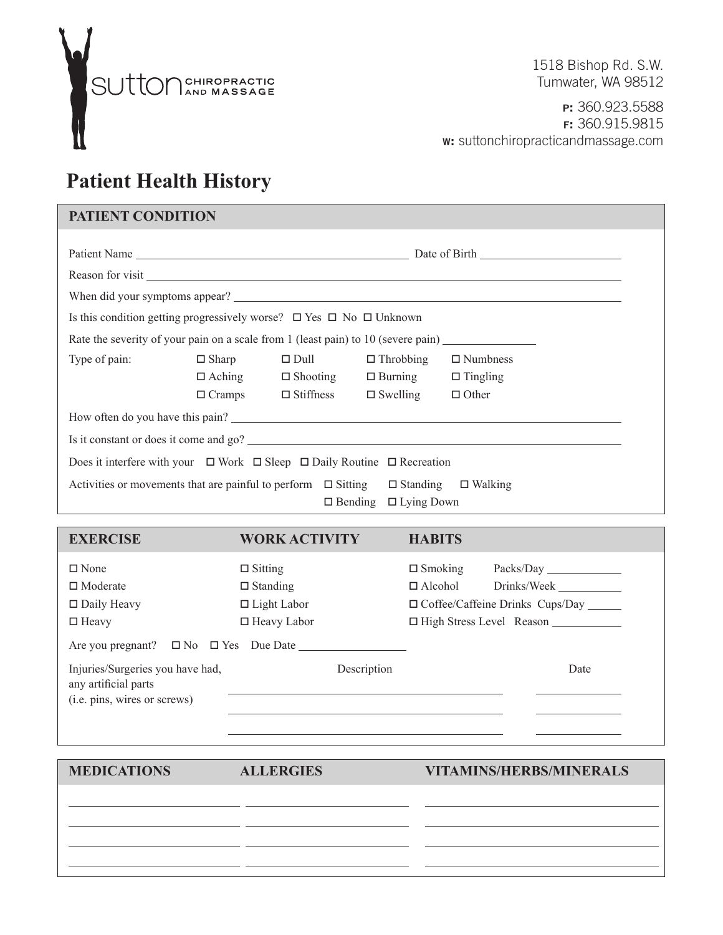

 1518 Bishop Rd. S.W. Tumwater, WA 98512

**P:** 360.923.5588 **F:** 360.915.9815 **W:** suttonchiropracticandmassage.com

## **Patient Health History**

## **PATIENT CONDITION**

| When did your symptoms appear?                                                                    |               |                               |                                  |                 |  |  |  |  |  |  |
|---------------------------------------------------------------------------------------------------|---------------|-------------------------------|----------------------------------|-----------------|--|--|--|--|--|--|
| Is this condition getting progressively worse? $\Box$ Yes $\Box$ No $\Box$ Unknown                |               |                               |                                  |                 |  |  |  |  |  |  |
| Rate the severity of your pain on a scale from 1 (least pain) to 10 (severe pain)                 |               |                               |                                  |                 |  |  |  |  |  |  |
| Type of pain:                                                                                     | $\Box$ Sharp  | $\Box$ Dull                   | $\Box$ Throbbing                 | $\Box$ Numbness |  |  |  |  |  |  |
|                                                                                                   |               | $\Box$ Aching $\Box$ Shooting | $\Box$ Burning $\Box$ Tingling   |                 |  |  |  |  |  |  |
|                                                                                                   | $\Box$ Cramps |                               | $\Box$ Stiffness $\Box$ Swelling | $\Box$ Other    |  |  |  |  |  |  |
| How often do you have this pain?                                                                  |               |                               |                                  |                 |  |  |  |  |  |  |
| Is it constant or does it come and go?                                                            |               |                               |                                  |                 |  |  |  |  |  |  |
| Does it interfere with your $\Box$ Work $\Box$ Sleep $\Box$ Daily Routine $\Box$ Recreation       |               |                               |                                  |                 |  |  |  |  |  |  |
| Activities or movements that are painful to perform $\Box$ Sitting $\Box$ Standing $\Box$ Walking |               |                               |                                  |                 |  |  |  |  |  |  |
|                                                                                                   |               |                               | $\Box$ Bending $\Box$ Lying Down |                 |  |  |  |  |  |  |

| <b>EXERCISE</b>                                                                          | <b>WORK ACTIVITY</b>                                    | <b>HABITS</b>                                                                                            |
|------------------------------------------------------------------------------------------|---------------------------------------------------------|----------------------------------------------------------------------------------------------------------|
| $\Box$ None<br>$\Box$ Moderate<br>$\Box$ Daily Heavy                                     | $\Box$ Sitting<br>$\Box$ Standing<br>$\Box$ Light Labor | $\Box$ Smoking<br>Packs/Day<br>$\Box$ Alcohol<br>Drinks/Week<br>□ Coffee/Caffeine Drinks Cups/Day ______ |
| $\Box$ Heavy<br>Are you pregnant? $\square$ No $\square$ Yes Due Date                    | $\Box$ Heavy Labor                                      | $\Box$ High Stress Level Reason $\Box$                                                                   |
| Injuries/Surgeries you have had,<br>any artificial parts<br>(i.e. pins, wires or screws) | Description                                             | Date                                                                                                     |

 $\overline{a}$  $\overline{a}$ 

 $\overline{a}$ 

**MEDICATIONS ALLERGIES VITAMINS/HERBS/MINERALS**